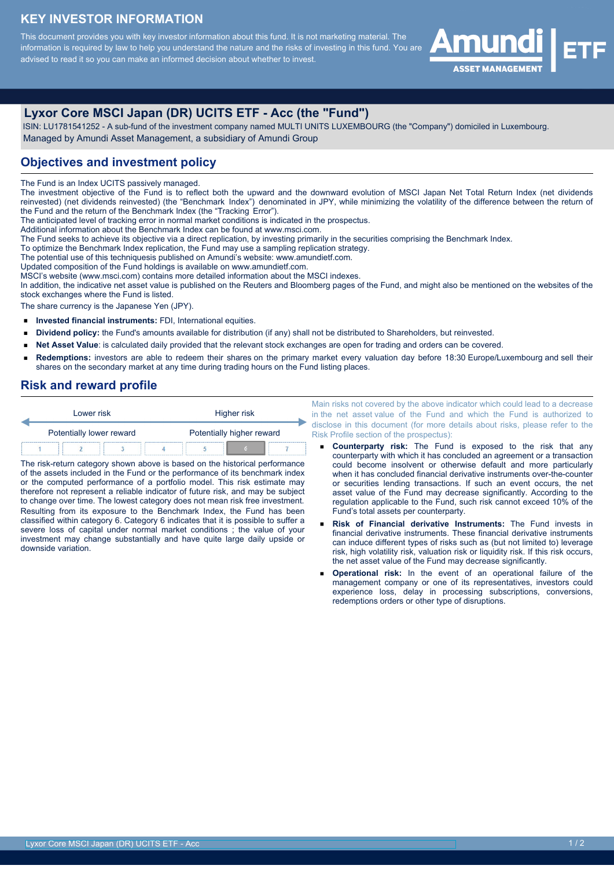#### **KEY INVESTOR INFORMATION**

This document provides you with key investor information about this fund. It is not marketing material. The information is required by law to help you understand the nature and the risks of investing in this fund. You are advised to read it so you can make an informed decision about whether to invest.



## **Lyxor Core MSCI Japan (DR) UCITS ETF - Acc (the "Fund")**

 ISIN: LU1781541252 - A sub-fund of the investment company named MULTI UNITS LUXEMBOURG (the "Company") domiciled in Luxembourg. Managed by Amundi Asset Management, a subsidiary of Amundi Group

#### **Objectives and investment policy**

The Fund is an Index UCITS passively managed.

The investment objective of the Fund is to reflect both the upward and the downward evolution of MSCI Japan Net Total Return Index (net dividends reinvested) (net dividends reinvested) (the "Benchmark Index") denominated in JPY, while minimizing the volatility of the difference between the return of the Fund and the return of the Benchmark Index (the "Tracking Error").

The anticipated level of tracking error in normal market conditions is indicated in the prospectus.

Additional information about the Benchmark Index can be found at www.msci.com.

The Fund seeks to achieve its objective via a direct replication, by investing primarily in the securities comprising the Benchmark Index.

To optimize the Benchmark Index replication, the Fund may use a sampling replication strategy.

The potential use of this techniquesis published on Amundi's website: www.amundietf.com.

Updated composition of the Fund holdings is available on www.amundietf.com.

MSCI's website (www.msci.com) contains more detailed information about the MSCI indexes. In addition, the indicative net asset value is published on the Reuters and Bloomberg pages of the Fund, and might also be mentioned on the websites of the stock exchanges where the Fund is listed.

The share currency is the Japanese Yen (JPY).

- $\blacksquare$ **Invested financial instruments:** FDI, International equities.
- $\blacksquare$ **Dividend policy:** the Fund's amounts available for distribution (if any) shall not be distributed to Shareholders, but reinvested.
- **Net Asset Value**: is calculated daily provided that the relevant stock exchanges are open for trading and orders can be covered.  $\blacksquare$
- **Redemptions:** investors are able to redeem their shares on the primary market every valuation day before 18:30 Europe/Luxembourg and sell their  $\blacksquare$ shares on the secondary market at any time during trading hours on the Fund listing places.

#### **Risk and reward profile**

|  | Lower risk               |  |  | Higher risk               |  |  |  |
|--|--------------------------|--|--|---------------------------|--|--|--|
|  | Potentially lower reward |  |  | Potentially higher reward |  |  |  |
|  |                          |  |  |                           |  |  |  |

The risk-return category shown above is based on the historical performance of the assets included in the Fund or the performance of its benchmark index or the computed performance of a portfolio model. This risk estimate may therefore not represent a reliable indicator of future risk, and may be subject to change over time. The lowest category does not mean risk free investment. Resulting from its exposure to the Benchmark Index, the Fund has been classified within category 6. Category 6 indicates that it is possible to suffer a severe loss of capital under normal market conditions ; the value of your investment may change substantially and have quite large daily upside or downside variation.

Main risks not covered by the above indicator which could lead to a decrease in the net asset value of the Fund and which the Fund is authorized to disclose in this document (for more details about risks, please refer to the Risk Profile section of the prospectus):

- **Counterparty risk:** The Fund is exposed to the risk that any counterparty with which it has concluded an agreement or a transaction could become insolvent or otherwise default and more particularly when it has concluded financial derivative instruments over-the-counter or securities lending transactions. If such an event occurs, the net asset value of the Fund may decrease significantly. According to the regulation applicable to the Fund, such risk cannot exceed 10% of the Fund's total assets per counterparty.
- **Risk of Financial derivative Instruments:** The Fund invests in financial derivative instruments. These financial derivative instruments can induce different types of risks such as (but not limited to) leverage risk, high volatility risk, valuation risk or liquidity risk. If this risk occurs, the net asset value of the Fund may decrease significantly.
- **Operational risk:** In the event of an operational failure of the management company or one of its representatives, investors could experience loss, delay in processing subscriptions, conversions, redemptions orders or other type of disruptions.